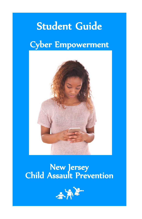# Student Guide

# Cyber Empowerment



## New Jersey Child Assault Prevention

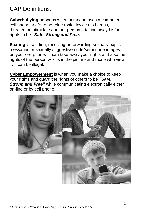## CAP Definitions:

**Cyberbullying** happens when someone uses a computer, cell phone and/or other electronic devices to harass, threaten or intimidate another person – taking away his/her rights to be *"Safe, Strong and Free."*

**Sexting** is sending, receiving or forwarding sexually explicit messages or sexually suggestive nude/semi-nude images on your cell phone. It can take away your rights and also the rights of the person who is in the picture and those who view it. It can be illegal.

**Cyber Empowerment** is when you make a choice to keep your rights and guard the rights of others to be *"Safe, Strong and Free"* while communicating electronically either on-line or by cell phone.

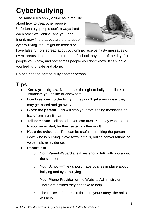# **Cyberbullying**

The same rules apply online as in real life about how to treat other people. Unfortunately, people don't always treat each other well online; and you, or a friend, may find that you are the target of cyberbullying. You might be teased or



have false rumors spread about you online, receive nasty messages or even threats. It can happen in or out of school, any hour of the day, from people you know, and sometimes people you don't know. It can leave you feeling unsafe and alone.

No one has the right to bully another person.

## **Tips**

- **Know your rights.** No one has the right to bully, humiliate or intimidate you online or elsewhere.
- **Don't respond to the bully**. If they don't get a response, they may get bored and go away.
- **Block the person.** This will stop you from seeing messages or texts from a particular person.
- **Tell someone**. Tell an adult you can trust. You may want to talk to your mom, dad, brother, sister or other adult.
- **Keep the evidence**. This can be useful in tracking the person down who is bullying. Save texts, emails, online conversations or voicemails as evidence.
- **Report it to**:
	- o Your Parents/Guardians-They should talk with you about the situation.
	- o Your School—They should have policies in place about bullying and cyberbullying.
	- o Your Phone Provider, or the Website Administrator— There are actions they can take to help.
	- $\circ$  The Police—If there is a threat to your safety, the police will help.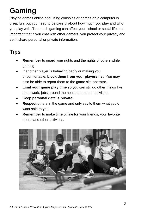# **Gaming**

Playing games online and using consoles or games on a computer is great fun, but you need to be careful about how much you play and who you play with. Too much gaming can affect your school or social life. It is important that if you chat with other gamers, you protect your privacy and don't share personal or private information.

## **Tips**

- **Remember** to guard your rights and the rights of others while gaming.
- If another player is behaving badly or making you uncomfortable, **block them from your players list.** You may also be able to report them to the game site operator.
- **Limit your game play time** so you can still do other things like homework, jobs around the house and other activities.
- **Keep personal details private.**
- **Respect** others in the game and only say to them what you'd want said to you.
- **Remember** to make time offline for your friends, your favorite sports and other activities.

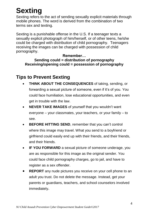# **Sexting**

Sexting refers to the act of sending sexually explicit materials through mobile phones. The word is derived from the combination of two terms sex and texting.

Sexting is a punishable offense in the U.S. If a teenager texts a sexually explicit photograph of him/herself, or of other teens, he/she could be charged with distribution of child pornography. Teenagers receiving the images can be charged with possession of child pornography.

### **Remember… Sending could = distribution of pornography Receiving/opening could = possession of pornography**

## **Tips to Prevent Sexting**

- **THINK ABOUT THE CONSEQUENCES** of taking, sending, or forwarding a sexual picture of someone, even if it's of you. You could face humiliation, lose educational opportunities, and even get in trouble with the law.
- **NEVER TAKE IMAGES** of yourself that you wouldn't want everyone – your classmates, your teachers, or your family – to see.
- **BEFORE HITTING SEND, remember that you can't control** where this image may travel. What you send to a boyfriend or girlfriend could easily end up with their friends, and their friends, and their friends.
- **IF YOU FORWARD** a sexual picture of someone underage, you are as responsible for this image as the original sender. You could face child pornography charges, go to jail, and have to register as a sex offender.
- **REPORT** any nude pictures you receive on your cell phone to an adult you trust. Do not delete the message. Instead, get your parents or guardians, teachers, and school counselors involved immediately.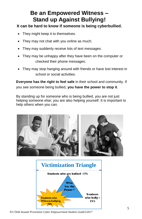## **Be an Empowered Witness – Stand up Against Bullying!**

### **It can be hard to know if someone is being cyberbullied.**

- They might keep it to themselves.
- They may not chat with you online as much.
- They may suddenly receive lots of text messages.
- They may be unhappy after they have been on the computer or checked their phone messages.
- They may stop hanging around with friends or have lost interest in school or social activities.

**Everyone has the right to feel safe** in their school and community. If you see someone being bullied, **you have the power to stop it**.

By standing up for someone who is being bullied, you are not just helping someone else; you are also helping yourself. It is important to help others when you can.



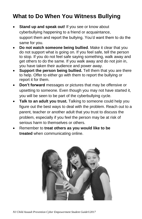## **What to Do When You Witness Bullying**

- **Stand up and speak out!** If you see or know about cyberbullying happening to a friend or acquaintance, support them and report the bullying. You'd want them to do the same for you.
- **Do not watch someone being bullied**. Make it clear that you do not support what is going on. If you feel safe, tell the person to stop. If you do not feel safe saying something, walk away and get others to do the same. If you walk away and do not join in, you have taken their audience and power away.
- **Support the person being bullied.** Tell them that you are there to help. Offer to either go with them to report the bullying or report it for them.
- **Don't forward** messages or pictures that may be offensive or upsetting to someone. Even though you may not have started it, you will be seen to be part of the cyberbullying cycle.
- **Talk to an adult you trust.** Talking to someone could help you figure out the best ways to deal with the problem. Reach out to a parent, teacher or another adult that you trust to discuss the problem, especially if you feel the person may be at risk of serious harm to themselves or others.
- Remember to **treat others as you would like to be treated** when communicating online.